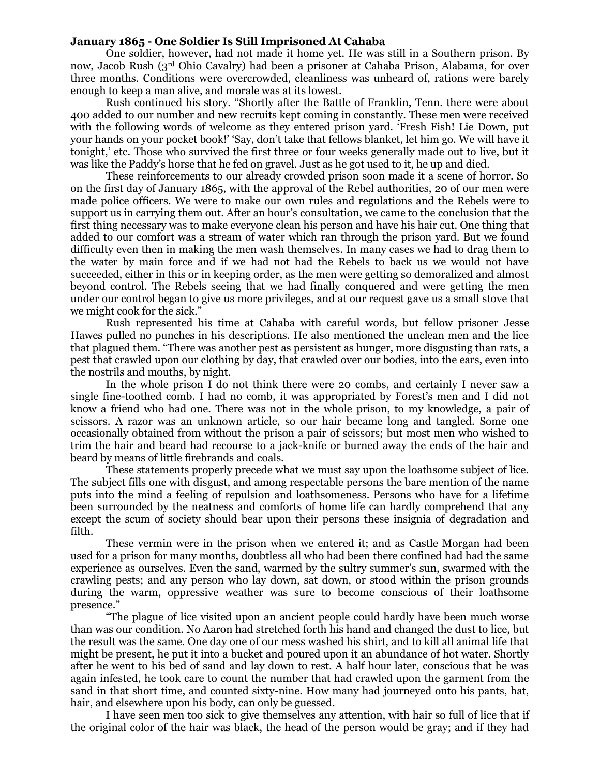## **January 1865 - One Soldier Is Still Imprisoned At Cahaba**

One soldier, however, had not made it home yet. He was still in a Southern prison. By now, Jacob Rush (3rd Ohio Cavalry) had been a prisoner at Cahaba Prison, Alabama, for over three months. Conditions were overcrowded, cleanliness was unheard of, rations were barely enough to keep a man alive, and morale was at its lowest.

Rush continued his story. "Shortly after the Battle of Franklin, Tenn. there were about 400 added to our number and new recruits kept coming in constantly. These men were received with the following words of welcome as they entered prison yard. 'Fresh Fish! Lie Down, put your hands on your pocket book!' 'Say, don't take that fellows blanket, let him go. We will have it tonight,' etc. Those who survived the first three or four weeks generally made out to live, but it was like the Paddy's horse that he fed on gravel. Just as he got used to it, he up and died.

These reinforcements to our already crowded prison soon made it a scene of horror. So on the first day of January 1865, with the approval of the Rebel authorities, 20 of our men were made police officers. We were to make our own rules and regulations and the Rebels were to support us in carrying them out. After an hour's consultation, we came to the conclusion that the first thing necessary was to make everyone clean his person and have his hair cut. One thing that added to our comfort was a stream of water which ran through the prison yard. But we found difficulty even then in making the men wash themselves. In many cases we had to drag them to the water by main force and if we had not had the Rebels to back us we would not have succeeded, either in this or in keeping order, as the men were getting so demoralized and almost beyond control. The Rebels seeing that we had finally conquered and were getting the men under our control began to give us more privileges, and at our request gave us a small stove that we might cook for the sick."

Rush represented his time at Cahaba with careful words, but fellow prisoner Jesse Hawes pulled no punches in his descriptions. He also mentioned the unclean men and the lice that plagued them. "There was another pest as persistent as hunger, more disgusting than rats, a pest that crawled upon our clothing by day, that crawled over our bodies, into the ears, even into the nostrils and mouths, by night.

In the whole prison I do not think there were 20 combs, and certainly I never saw a single fine-toothed comb. I had no comb, it was appropriated by Forest's men and I did not know a friend who had one. There was not in the whole prison, to my knowledge, a pair of scissors. A razor was an unknown article, so our hair became long and tangled. Some one occasionally obtained from without the prison a pair of scissors; but most men who wished to trim the hair and beard had recourse to a jack-knife or burned away the ends of the hair and beard by means of little firebrands and coals.

These statements properly precede what we must say upon the loathsome subject of lice. The subject fills one with disgust, and among respectable persons the bare mention of the name puts into the mind a feeling of repulsion and loathsomeness. Persons who have for a lifetime been surrounded by the neatness and comforts of home life can hardly comprehend that any except the scum of society should bear upon their persons these insignia of degradation and filth.

These vermin were in the prison when we entered it; and as Castle Morgan had been used for a prison for many months, doubtless all who had been there confined had had the same experience as ourselves. Even the sand, warmed by the sultry summer's sun, swarmed with the crawling pests; and any person who lay down, sat down, or stood within the prison grounds during the warm, oppressive weather was sure to become conscious of their loathsome presence."

"The plague of lice visited upon an ancient people could hardly have been much worse than was our condition. No Aaron had stretched forth his hand and changed the dust to lice, but the result was the same. One day one of our mess washed his shirt, and to kill all animal life that might be present, he put it into a bucket and poured upon it an abundance of hot water. Shortly after he went to his bed of sand and lay down to rest. A half hour later, conscious that he was again infested, he took care to count the number that had crawled upon the garment from the sand in that short time, and counted sixty-nine. How many had journeyed onto his pants, hat, hair, and elsewhere upon his body, can only be guessed.

I have seen men too sick to give themselves any attention, with hair so full of lice that if the original color of the hair was black, the head of the person would be gray; and if they had